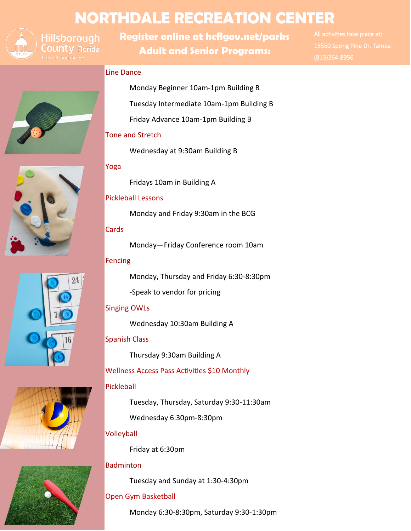# **NORTHDALE RECREATION CENTER**



**Hillsborough** County Florida

**Register online at hcflgov.net/parks Adult and Senior Programs:**

All activities take place at: 15550 Spring Pine Dr. Tampa (813)264-8956

# Line Dance

Monday Beginner 10am-1pm Building B

Tuesday Intermediate 10am-1pm Building B

Friday Advance 10am-1pm Building B

## Tone and Stretch

Wednesday at 9:30am Building B

# Yoga

Fridays 10am in Building A

## Pickleball Lessons

Monday and Friday 9:30am in the BCG

## **Cards**

Monday—Friday Conference room 10am

## Fencing

Monday, Thursday and Friday 6:30-8:30pm

-Speak to vendor for pricing

# Singing OWLs

Wednesday 10:30am Building A

# Spanish Class

Thursday 9:30am Building A

Wellness Access Pass Activities \$10 Monthly

# Pickleball

Tuesday, Thursday, Saturday 9:30-11:30am Wednesday 6:30pm-8:30pm

# Volleyball

Friday at 6:30pm

# **Badminton**

Tuesday and Sunday at 1:30-4:30pm

# Open Gym Basketball

Monday 6:30-8:30pm, Saturday 9:30-1:30pm